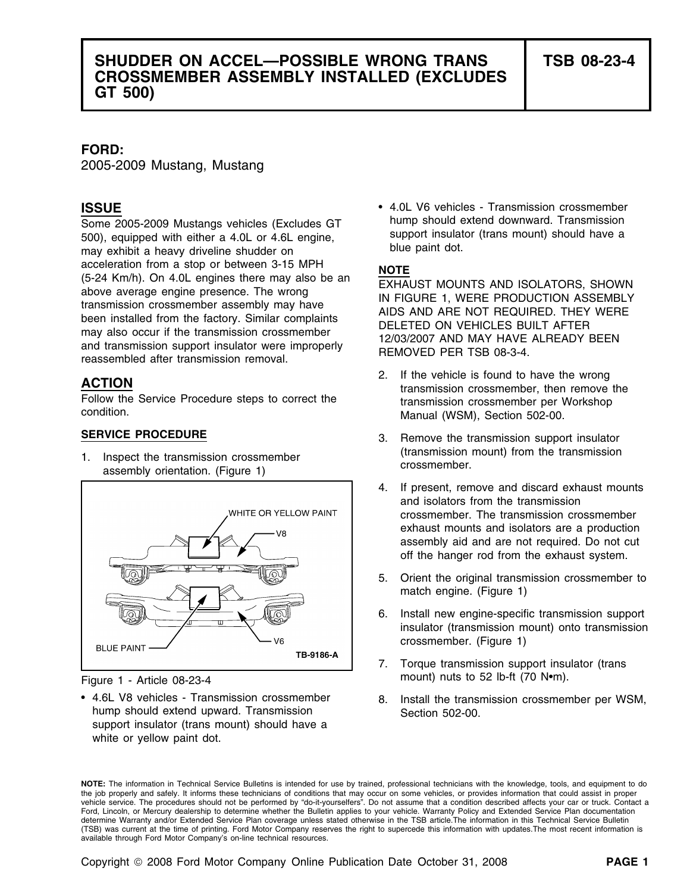## **SHUDDER ON ACCEL—POSSIBLE WRONG TRANS TSB 08-23-4 CROSSMEMBER ASSEMBLY INSTALLED (EXCLUDES GT 500)**

### **FORD:**

2005-2009 Mustang, Mustang

Some 2005-2009 Mustangs vehicles (Excludes GT hump should extend downward. Transmission<br>500) equipped with either a 4.0L or 4.6L engine<br>500) equipped with either a 4.0L or 4.6L engine 500), equipped with either a 4.0L or 4.6L engine, support insulat<br>may exhibit a beavy driveline shudder on blue paint dot. may exhibit a heavy driveline shudder on acceleration from a stop or between 3-15 MPH<br>
(5-24 Km/h). On 4.0L engines there may also be an<br>
above average engine presence. The wrong<br>
transmission crossmember assembly may have<br>
been installed from the factory. Simila



• 4.6L V8 vehicles - Transmission crossmember hump should extend upward. Transmission Section 502-00. support insulator (trans mount) should have a white or yellow paint dot.

• 4.0L V6 vehicles - Transmission crossmember **ISSUE**

- 2. If the vehicle is found to have the wrong **ACTION** transmission crossmember, then remove the Follow the Service Procedure steps to correct the transmission crossmember per Workshop condition.<br>
Manual (WSM), Section 502-00.
- **SERVICE PROCEDURE** 3. Remove the transmission support insulator 1. Inspect the transmission crossmember (transmission mount) from the transmission assembly orientation. (Figure 1)
	- 4. If present, remove and discard exhaust mounts and isolators from the transmission crossmember. The transmission crossmember exhaust mounts and isolators are a production assembly aid and are not required. Do not cut off the hanger rod from the exhaust system.
	- 5. Orient the original transmission crossmember to match engine. (Figure 1)
	- 6. Install new engine-specific transmission support insulator (transmission mount) onto transmission crossmember. (Figure 1)
- 7. Torque transmission support insulator (trans Figure 1 - Article 08-23-4 mount) nuts to 52 lb-ft (70 N•m).
	- 8. Install the transmission crossmember per WSM,

**NOTE:** The information in Technical Service Bulletins is intended for use by trained, professional technicians with the knowledge, tools, and equipment to do the job properly and safely. It informs these technicians of conditions that may occur on some vehicles, or provides information that could assist in proper vehicle service. The procedures should not be performed by "do-it-yourselfers". Do not assume that a condition described affects your car or truck. Contact a Ford, Lincoln, or Mercury dealership to determine whether the Bulletin applies to your vehicle. Warranty Policy and Extended Service Plan documentation determine Warranty and/or Extended Service Plan coverage unless stated otherwise in the TSB article.The information in this Technical Service Bulletin (TSB) was current at the time of printing. Ford Motor Company reserves the right to supercede this information with updates.The most recent information is available through Ford Motor Company's on-line technical resources.